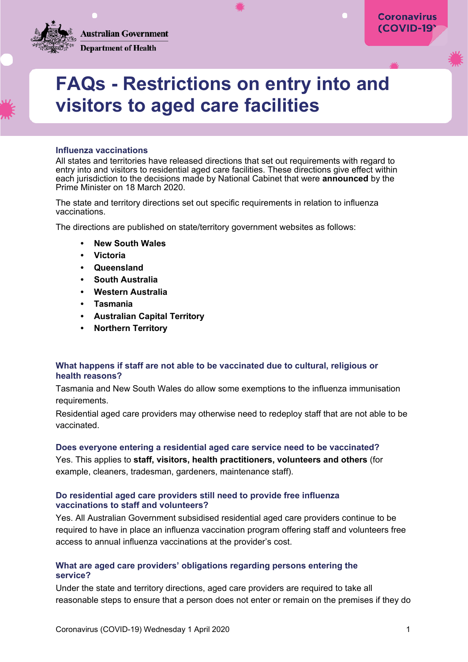**Australian Government Department of Health** 

# **FAQs - Restrictions on entry into and visitors to aged care facilities**

## **Influenza vaccinations**

All states and territories have released directions that set out requirements with regard to entry into and visitors to residential aged care facilities. These directions give effect within each jurisdiction to the decisions made by National Cabinet that were **[announced](https://www.pm.gov.au/media/update-coronavirus-measures)** by the Prime Minister on 18 March 2020.

The state and territory directions set out specific requirements in relation to influenza vaccinations.

The directions are published on state/territory government websites as follows:

- **• [New South Wales](https://www.legislation.nsw.gov.au/_emergency/Public%20Health%20(COVID-19%20Aged%20Care%20Facilities)%20Order%202020.pdf)**
- **• [Victoria](https://www.dhhs.vic.gov.au/state-emergency)**
- **• [Queensland](https://www.health.qld.gov.au/system-governance/legislation/cho-public-health-directions-under-expanded-public-health-act-powers/aged-care)**
- **• [South Australia](https://www.sa.gov.au/covid-19/emergency-declaration)**
- **• Western [Australia](https://www.wa.gov.au/government/publications/visitors-residential-aged-care-facilities-direction)**
- **• [Tasmania](http://www.gazette.tas.gov.au/editions/2020/march_2020)**
- **• [Australian Capital Territory](https://legislation.act.gov.au/ni/2020-168)**
- **• [Northern Territory](https://coronavirus.nt.gov.au/chief-health-officer-directions)**

## **What happens if staff are not able to be vaccinated due to cultural, religious or health reasons?**

Tasmania and New South Wales do allow some exemptions to the influenza immunisation requirements.

Residential aged care providers may otherwise need to redeploy staff that are not able to be vaccinated.

#### **Does everyone entering a residential aged care service need to be vaccinated?**

Yes. This applies to **staff, visitors, health practitioners, volunteers and others** (for example, cleaners, tradesman, gardeners, maintenance staff).

## **Do residential aged care providers still need to provide free influenza vaccinations to staff and volunteers?**

Yes. All Australian Government subsidised residential aged care providers continue to be required to have in place an influenza vaccination program offering staff and volunteers free access to annual influenza vaccinations at the provider's cost.

# **What are aged care providers' obligations regarding persons entering the service?**

Under the state and territory directions, aged care providers are required to take all reasonable steps to ensure that a person does not enter or remain on the premises if they do